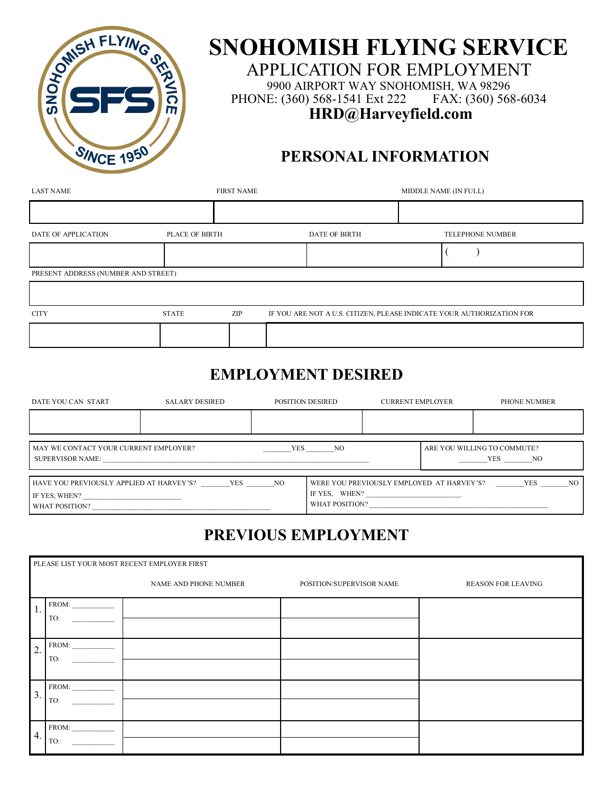

# **SNOHOMISH FLYING SERVICE**

APPLICATION FOR EMPLOYMENT 9900 AIRPORT WAY SNOHOMISH, WA 98296 PHONE: (360) 568-1541 Ext 222 FAX: (360) 568-6034 **HRD@Harveyfield.com**

### **PERSONAL INFORMATION**

| <b>LAST NAME</b>                    |                | <b>FIRST NAME</b> |  |                                                                       | MIDDLE NAME (IN FULL) |  |                         |
|-------------------------------------|----------------|-------------------|--|-----------------------------------------------------------------------|-----------------------|--|-------------------------|
|                                     |                |                   |  |                                                                       |                       |  |                         |
| DATE OF APPLICATION                 | PLACE OF BIRTH |                   |  | <b>DATE OF BIRTH</b>                                                  |                       |  | <b>TELEPHONE NUMBER</b> |
|                                     |                |                   |  |                                                                       |                       |  |                         |
| PRESENT ADDRESS (NUMBER AND STREET) |                |                   |  |                                                                       |                       |  |                         |
|                                     |                |                   |  |                                                                       |                       |  |                         |
| <b>CITY</b>                         | <b>STATE</b>   | ZIP               |  | IF YOU ARE NOT A U.S. CITIZEN, PLEASE INDICATE YOUR AUTHORIZATION FOR |                       |  |                         |
|                                     |                |                   |  |                                                                       |                       |  |                         |

## **EMPLOYMENT DESIRED**

| DATE YOU CAN START                                                                              | SALARY DESIRED |  | POSITION DESIRED                                                             | <b>CURRENT EMPLOYER</b> |  | PHONE NUMBER                          |     |
|-------------------------------------------------------------------------------------------------|----------------|--|------------------------------------------------------------------------------|-------------------------|--|---------------------------------------|-----|
|                                                                                                 |                |  |                                                                              |                         |  |                                       |     |
| MAY WE CONTACT YOUR CURRENT EMPLOYER?<br>SUPERVISOR NAME:                                       |                |  | <b>YES</b><br>NO.                                                            |                         |  | ARE YOU WILLING TO COMMUTE?<br>YES NO |     |
| <b>YES</b><br>HAVE YOU PREVIOUSLY APPLIED AT HARVEY'S?<br>NQ<br>IF YES, WHEN?<br>WHAT POSITION? |                |  | WERE YOU PREVIOUSLY EMPLOYED AT HARVEY'S?<br>IF YES, WHEN?<br>WHAT POSITION? |                         |  | YES                                   | NO. |

## **PREVIOUS EMPLOYMENT**

|                  | PLEASE LIST YOUR MOST RECENT EMPLOYER FIRST |                       |                          |                           |  |  |  |
|------------------|---------------------------------------------|-----------------------|--------------------------|---------------------------|--|--|--|
|                  |                                             | NAME AND PHONE NUMBER | POSITION/SUPERVISOR NAME | <b>REASON FOR LEAVING</b> |  |  |  |
| 1.               | FROM:<br>TO:                                |                       |                          |                           |  |  |  |
| 2.               | FROM:<br>TO:                                |                       |                          |                           |  |  |  |
| $\overline{3}$ . | FROM:<br>TO:                                |                       |                          |                           |  |  |  |
| 4.               | FROM:<br>TO:                                |                       |                          |                           |  |  |  |